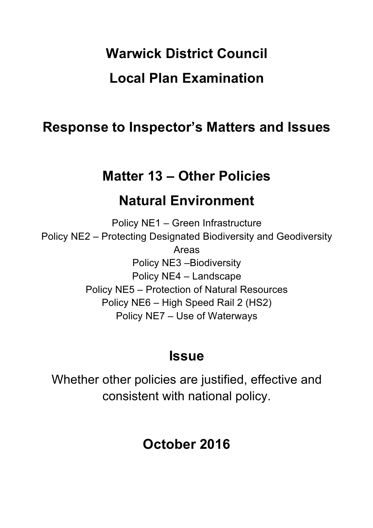# **Warwick District Council Local Plan Examination**

# **Response to Inspector's Matters and Issues**

# **Matter 13 – Other Policies**

# **Natural Environment**

Policy NE1 – Green Infrastructure Policy NE2 – Protecting Designated Biodiversity and Geodiversity Areas Policy NE3 –Biodiversity Policy NE4 – Landscape Policy NE5 – Protection of Natural Resources Policy NE6 – High Speed Rail 2 (HS2) Policy NE7 – Use of Waterways

# **Issue**

Whether other policies are justified, effective and consistent with national policy.

# **October 2016**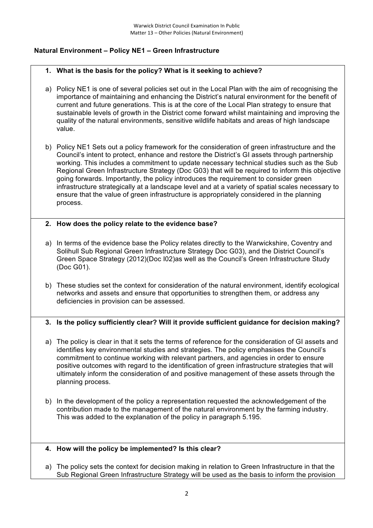# **Natural Environment – Policy NE1 – Green Infrastructure**

## **1. What is the basis for the policy? What is it seeking to achieve?**

- a) Policy NE1 is one of several policies set out in the Local Plan with the aim of recognising the importance of maintaining and enhancing the District's natural environment for the benefit of current and future generations. This is at the core of the Local Plan strategy to ensure that sustainable levels of growth in the District come forward whilst maintaining and improving the quality of the natural environments, sensitive wildlife habitats and areas of high landscape value.
- b) Policy NE1 Sets out a policy framework for the consideration of green infrastructure and the Council's intent to protect, enhance and restore the District's GI assets through partnership working. This includes a commitment to update necessary technical studies such as the Sub Regional Green Infrastructure Strategy (Doc G03) that will be required to inform this objective going forwards. Importantly, the policy introduces the requirement to consider green infrastructure strategically at a landscape level and at a variety of spatial scales necessary to ensure that the value of green infrastructure is appropriately considered in the planning process.

## **2. How does the policy relate to the evidence base?**

- a) In terms of the evidence base the Policy relates directly to the Warwickshire, Coventry and Solihull Sub Regional Green Infrastructure Strategy Doc G03), and the District Council's Green Space Strategy (2012)(Doc I02)as well as the Council's Green Infrastructure Study (Doc G01).
- b) These studies set the context for consideration of the natural environment, identify ecological networks and assets and ensure that opportunities to strengthen them, or address any deficiencies in provision can be assessed.

# **3. Is the policy sufficiently clear? Will it provide sufficient guidance for decision making?**

- a) The policy is clear in that it sets the terms of reference for the consideration of GI assets and identifies key environmental studies and strategies. The policy emphasises the Council's commitment to continue working with relevant partners, and agencies in order to ensure positive outcomes with regard to the identification of green infrastructure strategies that will ultimately inform the consideration of and positive management of these assets through the planning process.
- b) In the development of the policy a representation requested the acknowledgement of the contribution made to the management of the natural environment by the farming industry. This was added to the explanation of the policy in paragraph 5.195.

#### **4. How will the policy be implemented? Is this clear?**

a) The policy sets the context for decision making in relation to Green Infrastructure in that the Sub Regional Green Infrastructure Strategy will be used as the basis to inform the provision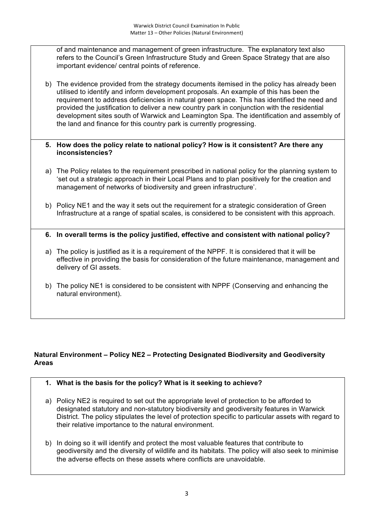of and maintenance and management of green infrastructure. The explanatory text also refers to the Council's Green Infrastructure Study and Green Space Strategy that are also important evidence/ central points of reference.

b) The evidence provided from the strategy documents itemised in the policy has already been utilised to identify and inform development proposals. An example of this has been the requirement to address deficiencies in natural green space. This has identified the need and provided the justification to deliver a new country park in conjunction with the residential development sites south of Warwick and Leamington Spa. The identification and assembly of the land and finance for this country park is currently progressing.

#### **5. How does the policy relate to national policy? How is it consistent? Are there any inconsistencies?**

- a) The Policy relates to the requirement prescribed in national policy for the planning system to 'set out a strategic approach in their Local Plans and to plan positively for the creation and management of networks of biodiversity and green infrastructure'.
- b) Policy NE1 and the way it sets out the requirement for a strategic consideration of Green Infrastructure at a range of spatial scales, is considered to be consistent with this approach.
- **6. In overall terms is the policy justified, effective and consistent with national policy?**
- a) The policy is justified as it is a requirement of the NPPF. It is considered that it will be effective in providing the basis for consideration of the future maintenance, management and delivery of GI assets.
- b) The policy NE1 is considered to be consistent with NPPF (Conserving and enhancing the natural environment).

# **Natural Environment – Policy NE2 – Protecting Designated Biodiversity and Geodiversity Areas**

- **1. What is the basis for the policy? What is it seeking to achieve?**
- a) Policy NE2 is required to set out the appropriate level of protection to be afforded to designated statutory and non-statutory biodiversity and geodiversity features in Warwick District. The policy stipulates the level of protection specific to particular assets with regard to their relative importance to the natural environment.
- b) In doing so it will identify and protect the most valuable features that contribute to geodiversity and the diversity of wildlife and its habitats. The policy will also seek to minimise the adverse effects on these assets where conflicts are unavoidable.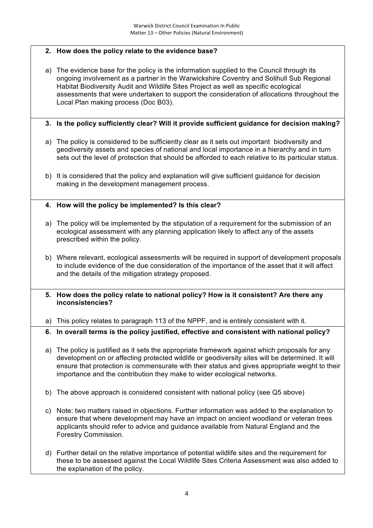# **2. How does the policy relate to the evidence base?**

a) The evidence base for the policy is the information supplied to the Council through its ongoing involvement as a partner in the Warwickshire Coventry and Solihull Sub Regional Habitat Biodiversity Audit and Wildlife Sites Project as well as specific ecological assessments that were undertaken to support the consideration of allocations throughout the Local Plan making process (Doc B03).

# **3. Is the policy sufficiently clear? Will it provide sufficient guidance for decision making?**

- a) The policy is considered to be sufficiently clear as it sets out important biodiversity and geodiversity assets and species of national and local importance in a hierarchy and in turn sets out the level of protection that should be afforded to each relative to its particular status.
- b) It is considered that the policy and explanation will give sufficient guidance for decision making in the development management process.

## **4. How will the policy be implemented? Is this clear?**

- a) The policy will be implemented by the stipulation of a requirement for the submission of an ecological assessment with any planning application likely to affect any of the assets prescribed within the policy.
- b) Where relevant, ecological assessments will be required in support of development proposals to include evidence of the due consideration of the importance of the asset that it will affect and the details of the mitigation strategy proposed.
- **5. How does the policy relate to national policy? How is it consistent? Are there any inconsistencies?**

a) This policy relates to paragraph 113 of the NPPF, and is entirely consistent with it.

# **6. In overall terms is the policy justified, effective and consistent with national policy?**

- a) The policy is justified as it sets the appropriate framework against which proposals for any development on or affecting protected wildlife or geodiversity sites will be determined. It will ensure that protection is commensurate with their status and gives appropriate weight to their importance and the contribution they make to wider ecological networks.
- b) The above approach is considered consistent with national policy (see Q5 above)
- c) Note: two matters raised in objections. Further information was added to the explanation to ensure that where development may have an impact on ancient woodland or veteran trees applicants should refer to advice and guidance available from Natural England and the Forestry Commission.
- d) Further detail on the relative importance of potential wildlife sites and the requirement for these to be assessed against the Local Wildlife Sites Criteria Assessment was also added to the explanation of the policy.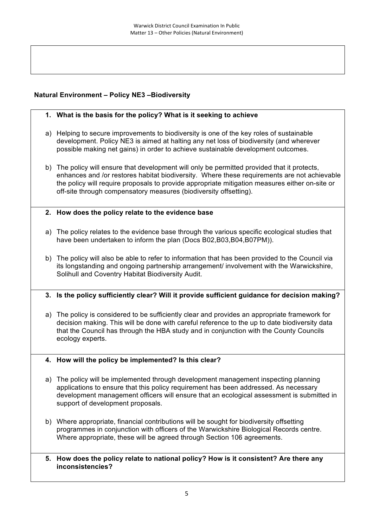# **Natural Environment – Policy NE3 –Biodiversity**

- **1. What is the basis for the policy? What is it seeking to achieve**
- a) Helping to secure improvements to biodiversity is one of the key roles of sustainable development. Policy NE3 is aimed at halting any net loss of biodiversity (and wherever possible making net gains) in order to achieve sustainable development outcomes.
- b) The policy will ensure that development will only be permitted provided that it protects, enhances and /or restores habitat biodiversity. Where these requirements are not achievable the policy will require proposals to provide appropriate mitigation measures either on-site or off-site through compensatory measures (biodiversity offsetting).
- **2. How does the policy relate to the evidence base**
- a) The policy relates to the evidence base through the various specific ecological studies that have been undertaken to inform the plan (Docs B02, B03, B04, B07PM)).
- b) The policy will also be able to refer to information that has been provided to the Council via its longstanding and ongoing partnership arrangement/ involvement with the Warwickshire, Solihull and Coventry Habitat Biodiversity Audit.

# **3. Is the policy sufficiently clear? Will it provide sufficient guidance for decision making?**

- a) The policy is considered to be sufficiently clear and provides an appropriate framework for decision making. This will be done with careful reference to the up to date biodiversity data that the Council has through the HBA study and in conjunction with the County Councils ecology experts.
- **4. How will the policy be implemented? Is this clear?**
- a) The policy will be implemented through development management inspecting planning applications to ensure that this policy requirement has been addressed. As necessary development management officers will ensure that an ecological assessment is submitted in support of development proposals.
- b) Where appropriate, financial contributions will be sought for biodiversity offsetting programmes in conjunction with officers of the Warwickshire Biological Records centre. Where appropriate, these will be agreed through Section 106 agreements.
- **5. How does the policy relate to national policy? How is it consistent? Are there any inconsistencies?**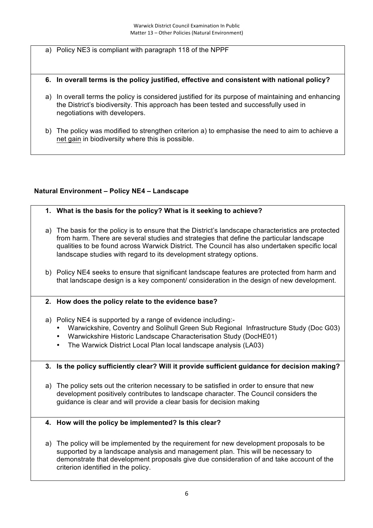- a) Policy NE3 is compliant with paragraph 118 of the NPPF
- **6. In overall terms is the policy justified, effective and consistent with national policy?**
- a) In overall terms the policy is considered justified for its purpose of maintaining and enhancing the District's biodiversity. This approach has been tested and successfully used in negotiations with developers.
- b) The policy was modified to strengthen criterion a) to emphasise the need to aim to achieve a net gain in biodiversity where this is possible.

# **Natural Environment – Policy NE4 – Landscape**

- **1. What is the basis for the policy? What is it seeking to achieve?**
- a) The basis for the policy is to ensure that the District's landscape characteristics are protected from harm. There are several studies and strategies that define the particular landscape qualities to be found across Warwick District. The Council has also undertaken specific local landscape studies with regard to its development strategy options.
- b) Policy NE4 seeks to ensure that significant landscape features are protected from harm and that landscape design is a key component/ consideration in the design of new development.

#### **2. How does the policy relate to the evidence base?**

- a) Policy NE4 is supported by a range of evidence including:-
	- Warwickshire, Coventry and Solihull Green Sub Regional Infrastructure Study (Doc G03)
	- Warwickshire Historic Landscape Characterisation Study (DocHE01)
	- The Warwick District Local Plan local landscape analysis (LA03)

#### **3. Is the policy sufficiently clear? Will it provide sufficient guidance for decision making?**

a) The policy sets out the criterion necessary to be satisfied in order to ensure that new development positively contributes to landscape character. The Council considers the guidance is clear and will provide a clear basis for decision making

#### **4. How will the policy be implemented? Is this clear?**

a) The policy will be implemented by the requirement for new development proposals to be supported by a landscape analysis and management plan. This will be necessary to demonstrate that development proposals give due consideration of and take account of the criterion identified in the policy.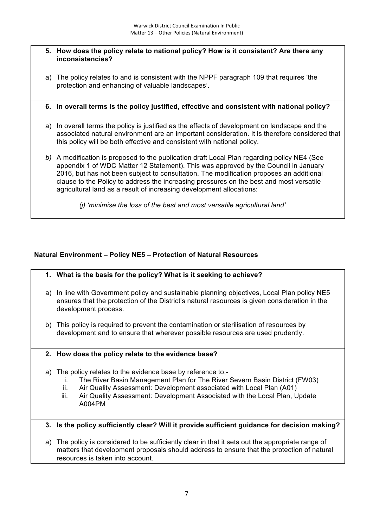#### **5. How does the policy relate to national policy? How is it consistent? Are there any inconsistencies?**

- a) The policy relates to and is consistent with the NPPF paragraph 109 that requires 'the protection and enhancing of valuable landscapes'.
- **6. In overall terms is the policy justified, effective and consistent with national policy?**
- a) In overall terms the policy is justified as the effects of development on landscape and the associated natural environment are an important consideration. It is therefore considered that this policy will be both effective and consistent with national policy.
- *b)* A modification is proposed to the publication draft Local Plan regarding policy NE4 (See appendix 1 of WDC Matter 12 Statement). This was approved by the Council in January 2016, but has not been subject to consultation. The modification proposes an additional clause to the Policy to address the increasing pressures on the best and most versatile agricultural land as a result of increasing development allocations:
	- *(j) 'minimise the loss of the best and most versatile agricultural land'*

# **Natural Environment – Policy NE5 – Protection of Natural Resources**

- **1. What is the basis for the policy? What is it seeking to achieve?**
- a) In line with Government policy and sustainable planning objectives, Local Plan policy NE5 ensures that the protection of the District's natural resources is given consideration in the development process.
- b) This policy is required to prevent the contamination or sterilisation of resources by development and to ensure that wherever possible resources are used prudently.

#### **2. How does the policy relate to the evidence base?**

- a) The policy relates to the evidence base by reference to;
	- i. The River Basin Management Plan for The River Severn Basin District (FW03)
	- ii. Air Quality Assessment: Development associated with Local Plan (A01)
	- iii. Air Quality Assessment: Development Associated with the Local Plan, Update A004PM
- **3. Is the policy sufficiently clear? Will it provide sufficient guidance for decision making?**
- a) The policy is considered to be sufficiently clear in that it sets out the appropriate range of matters that development proposals should address to ensure that the protection of natural resources is taken into account.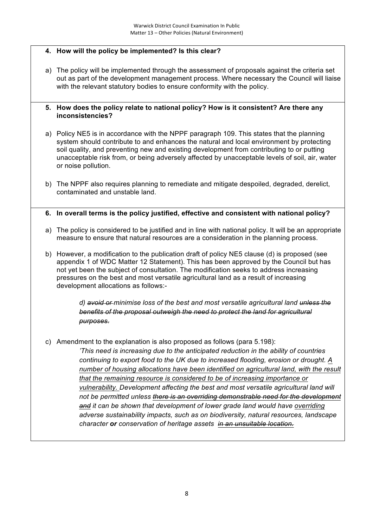# **4. How will the policy be implemented? Is this clear?**

a) The policy will be implemented through the assessment of proposals against the criteria set out as part of the development management process. Where necessary the Council will liaise with the relevant statutory bodies to ensure conformity with the policy.

#### **5. How does the policy relate to national policy? How is it consistent? Are there any inconsistencies?**

- a) Policy NE5 is in accordance with the NPPF paragraph 109. This states that the planning system should contribute to and enhances the natural and local environment by protecting soil quality, and preventing new and existing development from contributing to or putting unacceptable risk from, or being adversely affected by unacceptable levels of soil, air, water or noise pollution.
- b) The NPPF also requires planning to remediate and mitigate despoiled, degraded, derelict, contaminated and unstable land.

## **6. In overall terms is the policy justified, effective and consistent with national policy?**

- a) The policy is considered to be justified and in line with national policy. It will be an appropriate measure to ensure that natural resources are a consideration in the planning process.
- b) However, a modification to the publication draft of policy NE5 clause (d) is proposed (see appendix 1 of WDC Matter 12 Statement). This has been approved by the Council but has not yet been the subject of consultation. The modification seeks to address increasing pressures on the best and most versatile agricultural land as a result of increasing development allocations as follows:-

*d) avoid or minimise loss of the best and most versatile agricultural land unless the benefits of the proposal outweigh the need to protect the land for agricultural purposes*.

c) Amendment to the explanation is also proposed as follows (para 5.198):

*'This need is increasing due to the anticipated reduction in the ability of countries continuing to export food to the UK due to increased flooding, erosion or drought. A number of housing allocations have been identified on agricultural land, with the result that the remaining resource is considered to be of increasing importance or vulnerability. Development affecting the best and most versatile agricultural land will not be permitted unless there is an overriding demonstrable need for the development and it can be shown that development of lower grade land would have overriding adverse sustainability impacts, such as on biodiversity, natural resources, landscape character or conservation of heritage assets in an unsuitable location.*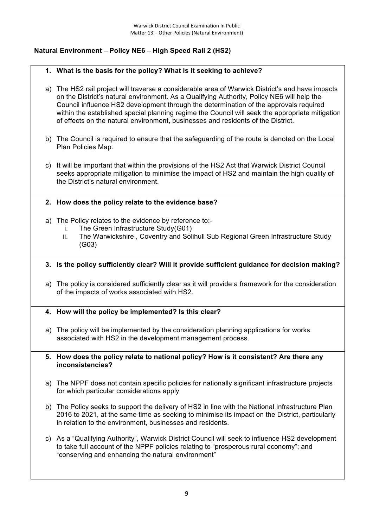# **Natural Environment – Policy NE6 – High Speed Rail 2 (HS2)**

#### **1. What is the basis for the policy? What is it seeking to achieve?**

- a) The HS2 rail project will traverse a considerable area of Warwick District's and have impacts on the District's natural environment. As a Qualifying Authority, Policy NE6 will help the Council influence HS2 development through the determination of the approvals required within the established special planning regime the Council will seek the appropriate mitigation of effects on the natural environment, businesses and residents of the District.
- b) The Council is required to ensure that the safeguarding of the route is denoted on the Local Plan Policies Map.
- c) It will be important that within the provisions of the HS2 Act that Warwick District Council seeks appropriate mitigation to minimise the impact of HS2 and maintain the high quality of the District's natural environment.
- **2. How does the policy relate to the evidence base?**
- a) The Policy relates to the evidence by reference to:
	- i. The Green Infrastructure Study(G01)
	- ii. The Warwickshire , Coventry and Solihull Sub Regional Green Infrastructure Study (G03)

#### **3. Is the policy sufficiently clear? Will it provide sufficient guidance for decision making?**

- a) The policy is considered sufficiently clear as it will provide a framework for the consideration of the impacts of works associated with HS2.
- **4. How will the policy be implemented? Is this clear?**
- a) The policy will be implemented by the consideration planning applications for works associated with HS2 in the development management process.
- **5. How does the policy relate to national policy? How is it consistent? Are there any inconsistencies?**
- a) The NPPF does not contain specific policies for nationally significant infrastructure projects for which particular considerations apply
- b) The Policy seeks to support the delivery of HS2 in line with the National Infrastructure Plan 2016 to 2021, at the same time as seeking to minimise its impact on the District, particularly in relation to the environment, businesses and residents.
- c) As a "Qualifying Authority", Warwick District Council will seek to influence HS2 development to take full account of the NPPF policies relating to "prosperous rural economy"; and "conserving and enhancing the natural environment"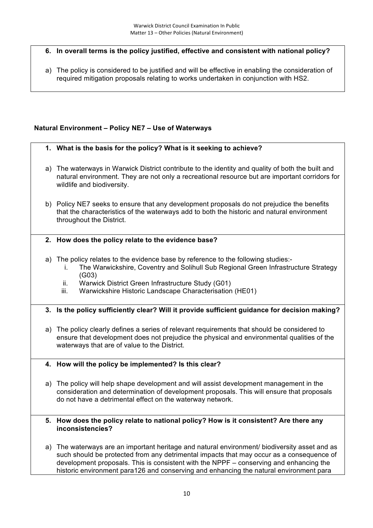# **6. In overall terms is the policy justified, effective and consistent with national policy?**

a) The policy is considered to be justified and will be effective in enabling the consideration of required mitigation proposals relating to works undertaken in conjunction with HS2.

# **Natural Environment – Policy NE7 – Use of Waterways**

## **1. What is the basis for the policy? What is it seeking to achieve?**

- a) The waterways in Warwick District contribute to the identity and quality of both the built and natural environment. They are not only a recreational resource but are important corridors for wildlife and biodiversity.
- b) Policy NE7 seeks to ensure that any development proposals do not prejudice the benefits that the characteristics of the waterways add to both the historic and natural environment throughout the District.

#### **2. How does the policy relate to the evidence base?**

- a) The policy relates to the evidence base by reference to the following studies:
	- i. The Warwickshire, Coventry and Solihull Sub Regional Green Infrastructure Strategy (G03)
	- ii. Warwick District Green Infrastructure Study (G01)
	- iii. Warwickshire Historic Landscape Characterisation (HE01)

#### **3. Is the policy sufficiently clear? Will it provide sufficient guidance for decision making?**

- a) The policy clearly defines a series of relevant requirements that should be considered to ensure that development does not prejudice the physical and environmental qualities of the waterways that are of value to the District.
- **4. How will the policy be implemented? Is this clear?**
- a) The policy will help shape development and will assist development management in the consideration and determination of development proposals. This will ensure that proposals do not have a detrimental effect on the waterway network.

#### **5. How does the policy relate to national policy? How is it consistent? Are there any inconsistencies?**

a) The waterways are an important heritage and natural environment/ biodiversity asset and as such should be protected from any detrimental impacts that may occur as a consequence of development proposals. This is consistent with the NPPF – conserving and enhancing the historic environment para126 and conserving and enhancing the natural environment para